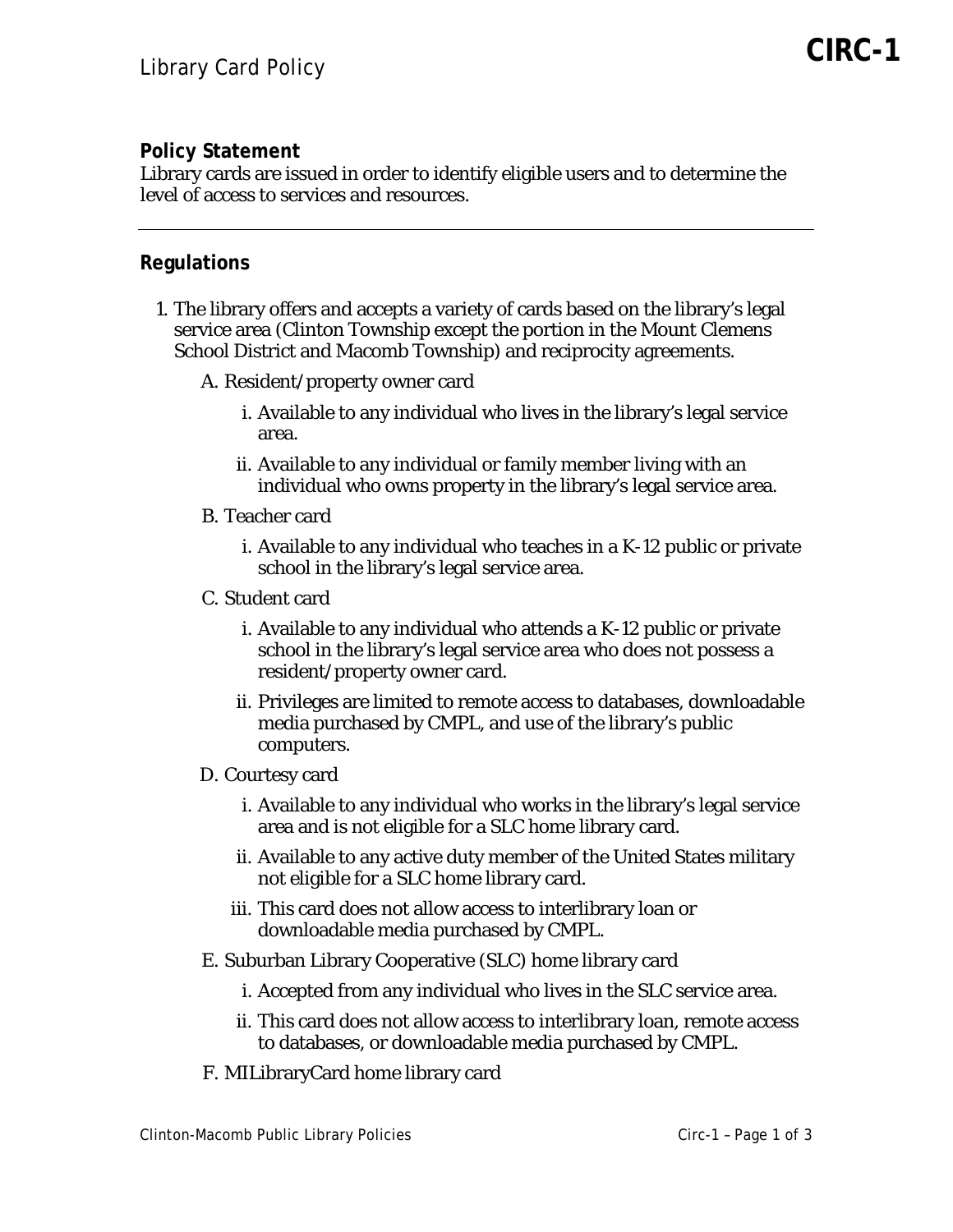## **Policy Statement**

Library cards are issued in order to identify eligible users and to determine the level of access to services and resources.

## **Regulations**

- 1. The library offers and accepts a variety of cards based on the library's legal service area (Clinton Township except the portion in the Mount Clemens School District and Macomb Township) and reciprocity agreements.
	- A. Resident/property owner card
		- i. Available to any individual who lives in the library's legal service area.
		- ii. Available to any individual or family member living with an individual who owns property in the library's legal service area.
	- B. Teacher card
		- i. Available to any individual who teaches in a K-12 public or private school in the library's legal service area.
	- C. Student card
		- i. Available to any individual who attends a K-12 public or private school in the library's legal service area who does not possess a resident/property owner card.
		- ii. Privileges are limited to remote access to databases, downloadable media purchased by CMPL, and use of the library's public computers.
	- D. Courtesy card
		- i. Available to any individual who works in the library's legal service area and is not eligible for a SLC home library card.
		- ii. Available to any active duty member of the United States military not eligible for a SLC home library card.
		- iii. This card does not allow access to interlibrary loan or downloadable media purchased by CMPL.
	- E. Suburban Library Cooperative (SLC) home library card
		- i. Accepted from any individual who lives in the SLC service area.
		- ii. This card does not allow access to interlibrary loan, remote access to databases, or downloadable media purchased by CMPL.
	- F. MILibraryCard home library card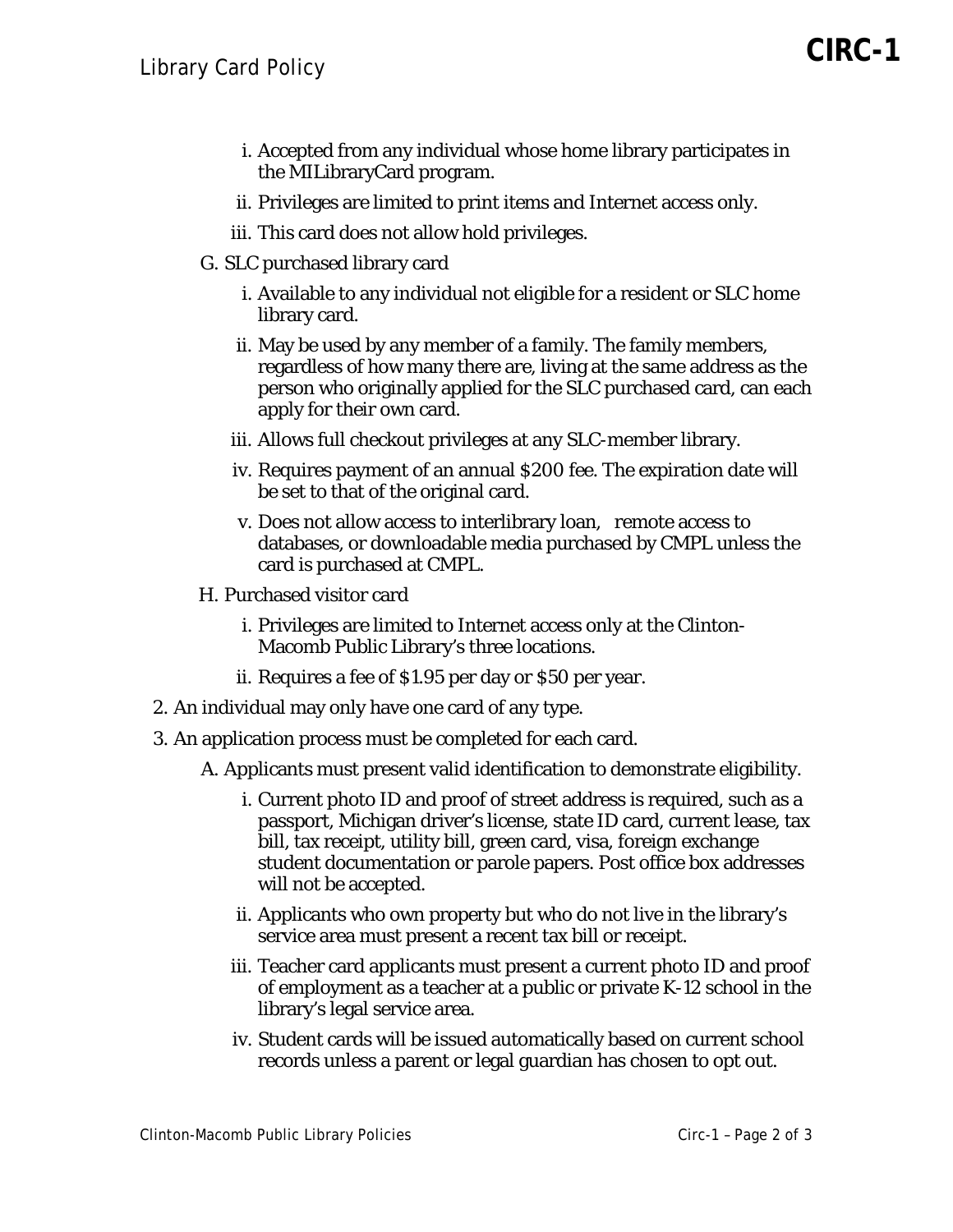- i. Accepted from any individual whose home library participates in the MILibraryCard program.
- ii. Privileges are limited to print items and Internet access only.
- iii. This card does not allow hold privileges.
- G. SLC purchased library card
	- i. Available to any individual not eligible for a resident or SLC home library card.
	- ii. May be used by any member of a family. The family members, regardless of how many there are, living at the same address as the person who originally applied for the SLC purchased card, can each apply for their own card.
	- iii. Allows full checkout privileges at any SLC-member library.
	- iv. Requires payment of an annual \$200 fee. The expiration date will be set to that of the original card.
	- v. Does not allow access to interlibrary loan, remote access to databases, or downloadable media purchased by CMPL unless the card is purchased at CMPL.
- H. Purchased visitor card
	- i. Privileges are limited to Internet access only at the Clinton-Macomb Public Library's three locations.
	- ii. Requires a fee of \$1.95 per day or \$50 per year.
- 2. An individual may only have one card of any type.
- 3. An application process must be completed for each card.
	- A. Applicants must present valid identification to demonstrate eligibility.
		- i. Current photo ID and proof of street address is required, such as a passport, Michigan driver's license, state ID card, current lease, tax bill, tax receipt, utility bill, green card, visa, foreign exchange student documentation or parole papers. Post office box addresses will not be accepted.
		- ii. Applicants who own property but who do not live in the library's service area must present a recent tax bill or receipt.
		- iii. Teacher card applicants must present a current photo ID and proof of employment as a teacher at a public or private K-12 school in the library's legal service area.
		- iv. Student cards will be issued automatically based on current school records unless a parent or legal guardian has chosen to opt out.